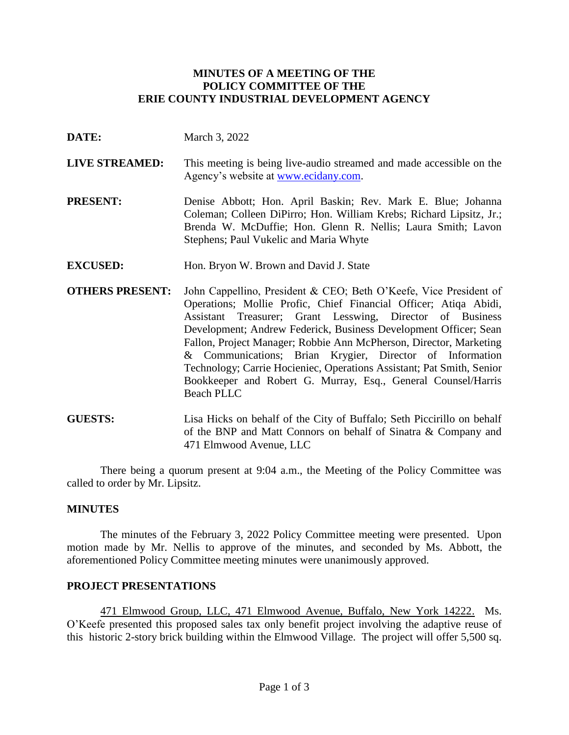### **MINUTES OF A MEETING OF THE POLICY COMMITTEE OF THE ERIE COUNTY INDUSTRIAL DEVELOPMENT AGENCY**

- **DATE:** March 3, 2022
- **LIVE STREAMED:** This meeting is being live-audio streamed and made accessible on the Agency's website at [www.ecidany.com.](http://www.ecidany.com/)
- **PRESENT:** Denise Abbott; Hon. April Baskin; Rev. Mark E. Blue; Johanna Coleman; Colleen DiPirro; Hon. William Krebs; Richard Lipsitz, Jr.; Brenda W. McDuffie; Hon. Glenn R. Nellis; Laura Smith; Lavon Stephens; Paul Vukelic and Maria Whyte
- **EXCUSED:** Hon. Bryon W. Brown and David J. State
- **OTHERS PRESENT:** John Cappellino, President & CEO; Beth O'Keefe, Vice President of Operations; Mollie Profic, Chief Financial Officer; Atiqa Abidi, Assistant Treasurer; Grant Lesswing, Director of Business Development; Andrew Federick, Business Development Officer; Sean Fallon, Project Manager; Robbie Ann McPherson, Director, Marketing & Communications; Brian Krygier, Director of Information Technology; Carrie Hocieniec, Operations Assistant; Pat Smith, Senior Bookkeeper and Robert G. Murray, Esq., General Counsel/Harris Beach PLLC
- **GUESTS:** Lisa Hicks on behalf of the City of Buffalo; Seth Piccirillo on behalf of the BNP and Matt Connors on behalf of Sinatra & Company and 471 Elmwood Avenue, LLC

There being a quorum present at 9:04 a.m., the Meeting of the Policy Committee was called to order by Mr. Lipsitz.

## **MINUTES**

The minutes of the February 3, 2022 Policy Committee meeting were presented. Upon motion made by Mr. Nellis to approve of the minutes, and seconded by Ms. Abbott, the aforementioned Policy Committee meeting minutes were unanimously approved.

## **PROJECT PRESENTATIONS**

471 Elmwood Group, LLC, 471 Elmwood Avenue, Buffalo, New York 14222. Ms. O'Keefe presented this proposed sales tax only benefit project involving the adaptive reuse of this historic 2-story brick building within the Elmwood Village. The project will offer 5,500 sq.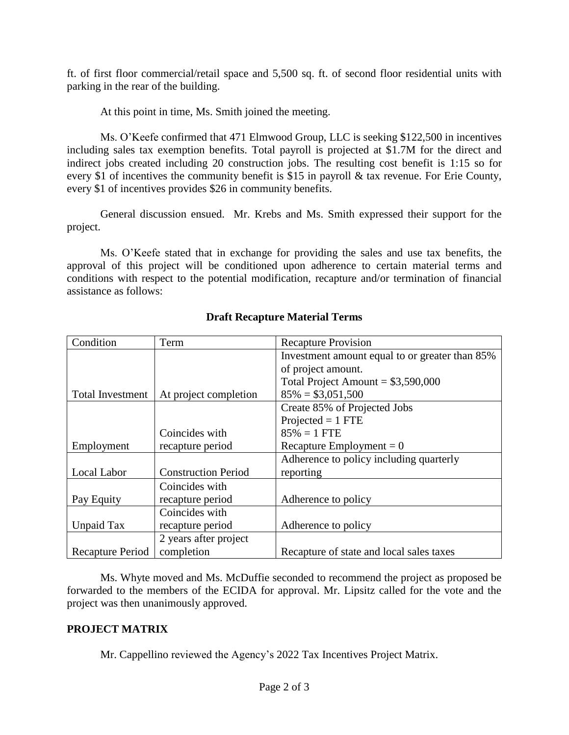ft. of first floor commercial/retail space and 5,500 sq. ft. of second floor residential units with parking in the rear of the building.

At this point in time, Ms. Smith joined the meeting.

Ms. O'Keefe confirmed that 471 Elmwood Group, LLC is seeking \$122,500 in incentives including sales tax exemption benefits. Total payroll is projected at \$1.7M for the direct and indirect jobs created including 20 construction jobs. The resulting cost benefit is 1:15 so for every \$1 of incentives the community benefit is \$15 in payroll & tax revenue. For Erie County, every \$1 of incentives provides \$26 in community benefits.

General discussion ensued. Mr. Krebs and Ms. Smith expressed their support for the project.

Ms. O'Keefe stated that in exchange for providing the sales and use tax benefits, the approval of this project will be conditioned upon adherence to certain material terms and conditions with respect to the potential modification, recapture and/or termination of financial assistance as follows:

| Condition               | Term                       | <b>Recapture Provision</b>                     |
|-------------------------|----------------------------|------------------------------------------------|
|                         |                            | Investment amount equal to or greater than 85% |
|                         |                            | of project amount.                             |
|                         |                            | Total Project Amount = $$3,590,000$            |
| <b>Total Investment</b> | At project completion      | $85\% = $3,051,500$                            |
|                         |                            | Create 85% of Projected Jobs                   |
|                         |                            | $Projected = 1 FTE$                            |
|                         | Coincides with             | $85\% = 1$ FTE                                 |
| Employment              | recapture period           | Recapture Employment = $0$                     |
|                         |                            | Adherence to policy including quarterly        |
| Local Labor             | <b>Construction Period</b> | reporting                                      |
|                         | Coincides with             |                                                |
| Pay Equity              | recapture period           | Adherence to policy                            |
|                         | Coincides with             |                                                |
| Unpaid Tax              | recapture period           | Adherence to policy                            |
|                         | 2 years after project      |                                                |
| Recapture Period        | completion                 | Recapture of state and local sales taxes       |

# **Draft Recapture Material Terms**

Ms. Whyte moved and Ms. McDuffie seconded to recommend the project as proposed be forwarded to the members of the ECIDA for approval. Mr. Lipsitz called for the vote and the project was then unanimously approved.

## **PROJECT MATRIX**

Mr. Cappellino reviewed the Agency's 2022 Tax Incentives Project Matrix.